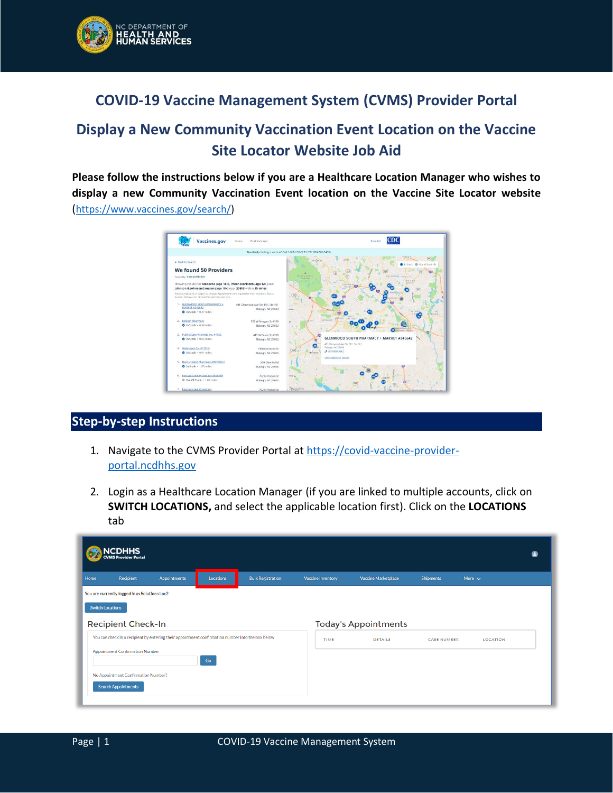

## **COVID-19 Vaccine Management System (CVMS) Provider Portal**

# **Display a New Community Vaccination Event Location on the Vaccine Site Locator Website Job Aid**

**Please follow the instructions below if you are a Healthcare Location Manager who wishes to display a new Community Vaccination Event location on the Vaccine Site Locator website**  ([https://www.vaccines.gov/search/\)](https://www.vaccines.gov/search/)



### **Step-by-step Instructions**

- 1. Navigate to the CVMS Provider Portal at [https://covid-vaccine-provider](https://covid-vaccine-provider-portal.ncdhhs.gov/)[portal.ncdhhs.gov](https://covid-vaccine-provider-portal.ncdhhs.gov/)
- 2. Login as a Healthcare Location Manager (if you are linked to multiple accounts, click on **SWITCH LOCATIONS,** and select the applicable location first). Click on the **LOCATIONS** tab

|      | <b>NCDHHS</b><br><b>CVMS Provider Portal</b>  |                                                                                                   |                  |                          |                          |                             |                    |                 |  |  |
|------|-----------------------------------------------|---------------------------------------------------------------------------------------------------|------------------|--------------------------|--------------------------|-----------------------------|--------------------|-----------------|--|--|
| Home | <b>Recipient</b>                              | <b>Appointments</b>                                                                               | <b>Locations</b> | <b>Bulk Registration</b> | <b>Vaccine Inventory</b> | <b>Vaccine Marketplace</b>  | <b>Shipments</b>   | More $\sim$     |  |  |
|      | You are currently logged in as Solutions Loc2 |                                                                                                   |                  |                          |                          |                             |                    |                 |  |  |
|      | <b>Switch Locations</b>                       |                                                                                                   |                  |                          |                          |                             |                    |                 |  |  |
|      | <b>Recipient Check-In</b>                     |                                                                                                   |                  |                          |                          | <b>Today's Appointments</b> |                    |                 |  |  |
|      |                                               | You can check in a recipient by entering their appointment confirmation number into the box below |                  |                          | TIME                     | <b>DETAILS</b>              | <b>CASE NUMBER</b> | <b>LOCATION</b> |  |  |
|      | Appointment Confirmation Number               |                                                                                                   | Go               |                          |                          |                             |                    |                 |  |  |
|      | No Appointment Confirmation Number?           |                                                                                                   |                  |                          |                          |                             |                    |                 |  |  |
|      | <b>Search Appointments</b>                    |                                                                                                   |                  |                          |                          |                             |                    |                 |  |  |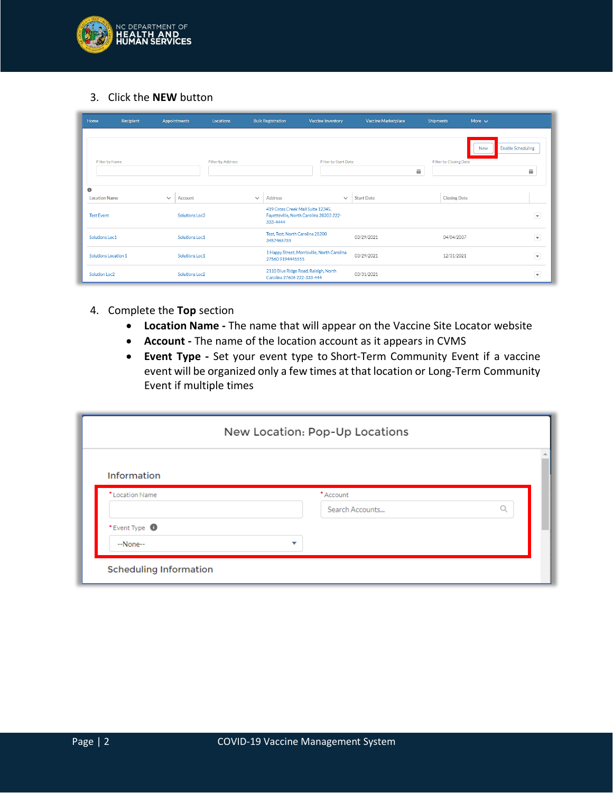

3. Click the **NEW** button

| Home                              | <b>Recipient</b> |              | Appointments   | Locations         |              | <b>Bulk Registration</b>                                                                 | <b>Vaccine Inventory</b> | Vaccine Marketplace | <b>Shipments</b> |                        | More $\sim$                            |                         |
|-----------------------------------|------------------|--------------|----------------|-------------------|--------------|------------------------------------------------------------------------------------------|--------------------------|---------------------|------------------|------------------------|----------------------------------------|-------------------------|
| Filter by Name                    |                  |              |                | Filter by Address |              |                                                                                          | Filter by Start Date     | 齒                   |                  | Filter by Closing Date | <b>Enable Scheduling</b><br><b>New</b> | 齒                       |
| $\bullet$<br><b>Location Name</b> |                  | $\checkmark$ | Account        |                   | $\checkmark$ | Address                                                                                  | $\checkmark$             | Start Date          |                  | <b>Closing Date</b>    |                                        |                         |
| <b>Test Event</b>                 |                  |              | Solutions Loc3 |                   |              | 419 Cross Creek Mall Suite 12345.<br>Fayetteville, North Carolina 28303 222-<br>333-4444 |                          |                     |                  |                        |                                        | $\overline{\mathbf{v}}$ |
| Solutions Loc1                    |                  |              | Solutions Loc1 |                   |              | Test, Test, North Carolina 28200<br>3457465789                                           |                          | 03/29/2021          |                  | 04/04/2037             |                                        | $\overline{\mathbf{v}}$ |
| Solutions Location 1              |                  |              | Solutions Loc1 |                   |              | 1 Happy Street, Morrisville, North Carolina<br>27560 9194445555                          |                          | 03/29/2021          |                  | 12/31/2021             |                                        | $\overline{\mathbf{v}}$ |
| Solution Loc2                     |                  |              | Solutions Loc2 |                   |              | 2110 Blue Ridge Road, Raleigh, North<br>Carolina 27606 222-333-444                       |                          | 03/31/2021          |                  |                        |                                        | $\overline{\textbf{v}}$ |

- 4. Complete the **Top** section
	- **Location Name -** The name that will appear on the Vaccine Site Locator website
	- **Account -** The name of the location account as it appears in CVMS
	- **Event Type -** Set your event type to Short-Term Community Event if a vaccine event will be organized only a few times at that location or Long-Term Community Event if multiple times

|                          | New Location: Pop-Up Locations |  |
|--------------------------|--------------------------------|--|
| Information              |                                |  |
| * Location Name          | *Account                       |  |
|                          | Search Accounts                |  |
|                          |                                |  |
| *Event Type <sup>1</sup> |                                |  |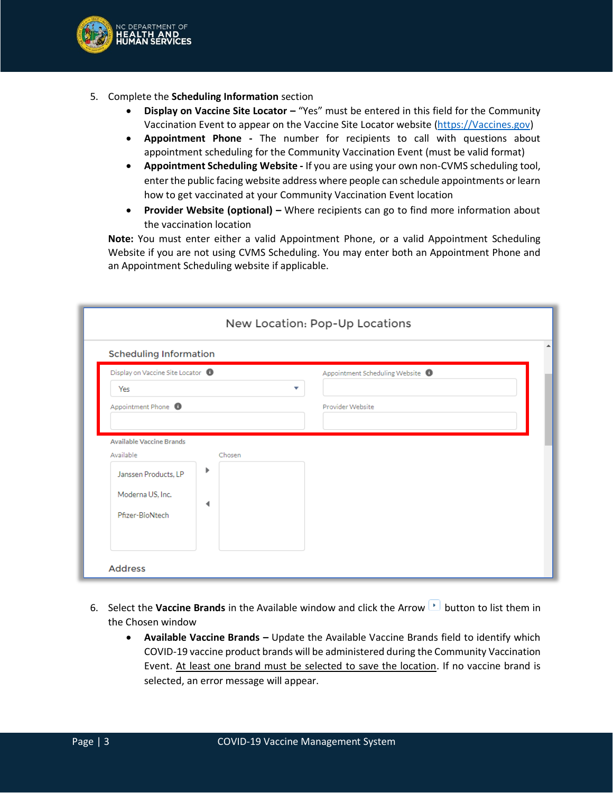

- 5. Complete the **Scheduling Information** section
	- **Display on Vaccine Site Locator –** "Yes" must be entered in this field for the Community Vaccination Event to appear on the Vaccine Site Locator website [\(https://Vaccines.gov\)](https://vaccines.gov/)
	- **Appointment Phone -** The number for recipients to call with questions about appointment scheduling for the Community Vaccination Event (must be valid format)
	- **Appointment Scheduling Website -** If you are using your own non-CVMS scheduling tool, enter the public facing website address where people can schedule appointments or learn how to get vaccinated at your Community Vaccination Event location
	- **Provider Website (optional) –** Where recipients can go to find more information about the vaccination location

**Note:** You must enter either a valid Appointment Phone, or a valid Appointment Scheduling Website if you are not using CVMS Scheduling. You may enter both an Appointment Phone and an Appointment Scheduling website if applicable.

| <b>Scheduling Information</b>     |        |                                |  |
|-----------------------------------|--------|--------------------------------|--|
| Display on Vaccine Site Locator @ |        | Appointment Scheduling Website |  |
| Yes                               |        | ▼                              |  |
| Appointment Phone <sup>1</sup>    |        | Provider Website               |  |
|                                   |        |                                |  |
| <b>Available Vaccine Brands</b>   |        |                                |  |
|                                   |        |                                |  |
| Available                         | Chosen |                                |  |
| Janssen Products, LP              | Þ      |                                |  |
|                                   |        |                                |  |
| Moderna US, Inc.                  | ◀      |                                |  |

- 6. Select the **Vaccine Brands** in the Available window and click the Arrow **button to list them in** the Chosen window
	- **Available Vaccine Brands –** Update the Available Vaccine Brands field to identify which COVID-19 vaccine product brands will be administered during the Community Vaccination Event. At least one brand must be selected to save the location. If no vaccine brand is selected, an error message will appear.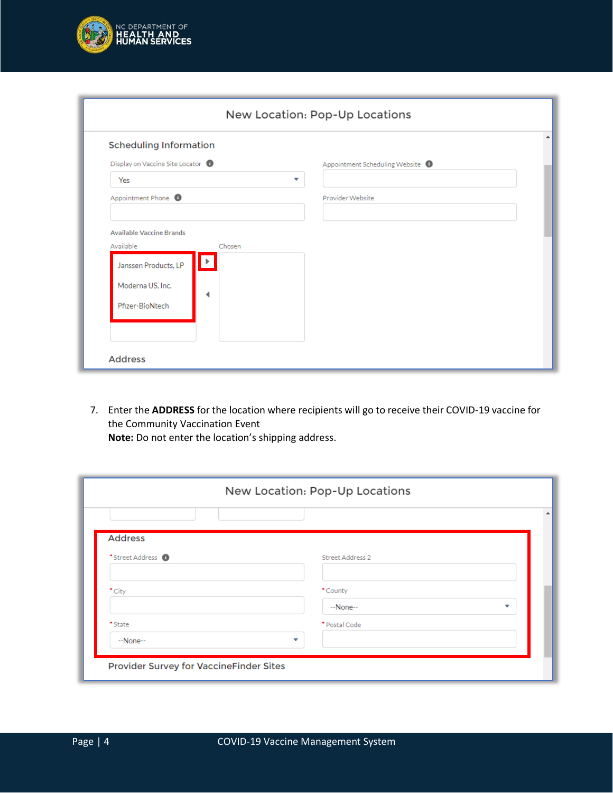

| <b>Scheduling Information</b>                                         |                                |
|-----------------------------------------------------------------------|--------------------------------|
| Display on Vaccine Site Locator @                                     | Appointment Scheduling Website |
| Yes                                                                   | ▼                              |
| Appointment Phone <sup>6</sup>                                        | Provider Website               |
| Available<br>Chosen<br>Þ.<br>Janssen Products, LP<br>Moderna US, Inc. |                                |

7. Enter the **ADDRESS** for the location where recipients will go to receive their COVID-19 vaccine for the Community Vaccination Event

|                              | New Location: Pop-Up Locations |   |
|------------------------------|--------------------------------|---|
|                              |                                |   |
| <b>Address</b>               |                                |   |
| *Street Address <sup>1</sup> | Street Address 2               |   |
|                              |                                |   |
| *City                        | *County                        |   |
|                              | $-None-$                       | ▽ |
| *State                       | * Postal Code                  |   |
| $-None-$                     | v                              |   |
|                              |                                |   |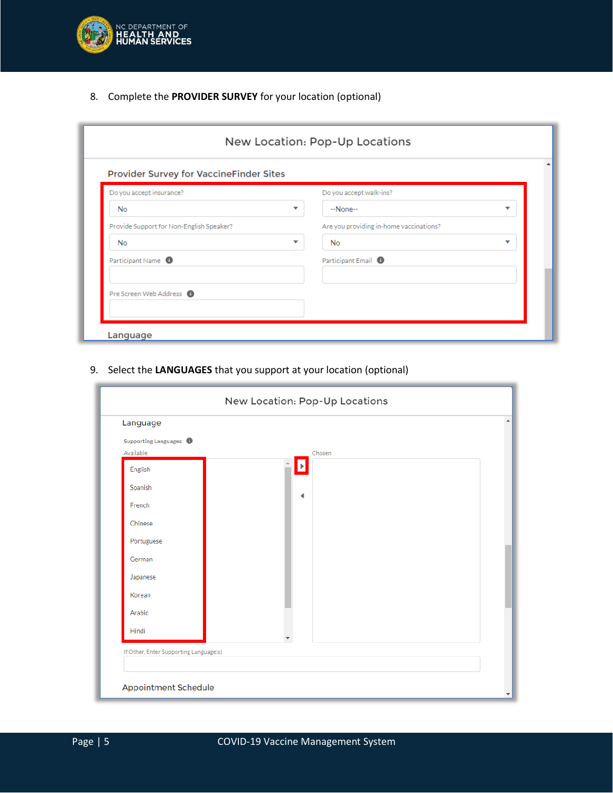

8. Complete the **PROVIDER SURVEY** for your location (optional)

| Provider Survey for VaccineFinder Sites<br>Do you accept insurance? | Do you accept walk-ins?                 |   |
|---------------------------------------------------------------------|-----------------------------------------|---|
| No                                                                  | ▼<br>$-None-$                           | v |
| Provide Support for Non-English Speaker?                            | Are you providing in-home vaccinations? |   |
| <b>No</b>                                                           | v<br>No                                 | ▼ |
| Participant Name <sup>1</sup>                                       | Participant Email <sup>0</sup>          |   |
|                                                                     |                                         |   |

9. Select the **LANGUAGES** that you support at your location (optional)

| Language                               |        |  |
|----------------------------------------|--------|--|
| Supporting Languages <sup>1</sup>      |        |  |
| Available                              | Chosen |  |
| English                                |        |  |
| Spanish                                |        |  |
| French                                 | ◀      |  |
| Chinese                                |        |  |
| Portuguese                             |        |  |
| German                                 |        |  |
| Japanese                               |        |  |
| Korean                                 |        |  |
| Arabic                                 |        |  |
| Hindi                                  |        |  |
| If Other, Enter Supporting Language(s) |        |  |
|                                        |        |  |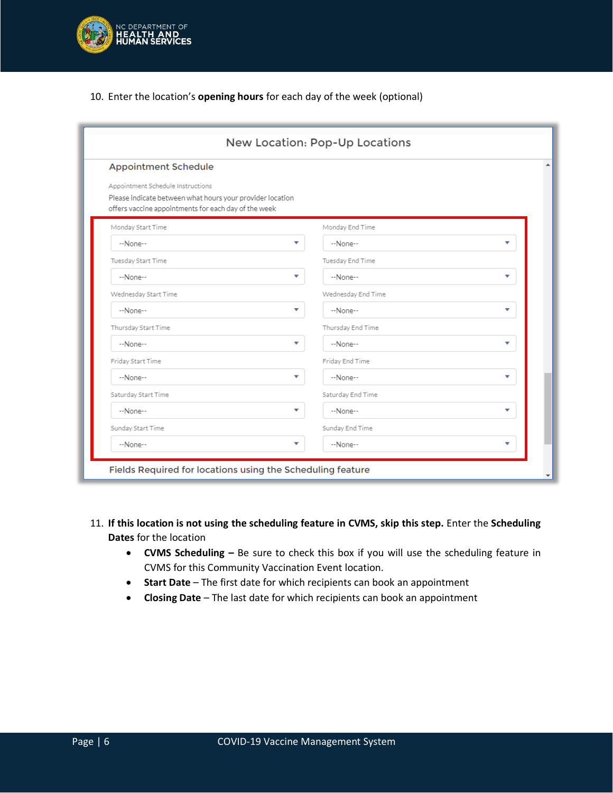

#### 10. Enter the location's **opening hours** for each day of the week (optional)

| <b>Appointment Schedule</b>                                                                                                                            |                    |                          |
|--------------------------------------------------------------------------------------------------------------------------------------------------------|--------------------|--------------------------|
| Appointment Schedule Instructions<br>Please indicate between what hours your provider location<br>offers vaccine appointments for each day of the week |                    |                          |
| Monday Start Time                                                                                                                                      | Monday End Time    |                          |
| --None--<br>▼                                                                                                                                          | --None--           |                          |
| Tuesday Start Time                                                                                                                                     | Tuesday End Time   |                          |
| --None--<br>▼                                                                                                                                          | --None--           | ▼                        |
| Wednesday Start Time                                                                                                                                   | Wednesday End Time |                          |
| --None--<br>▼                                                                                                                                          | --None--           | ▼                        |
| Thursday Start Time                                                                                                                                    | Thursday End Time  |                          |
| --None--<br>v                                                                                                                                          | --None--           | $\overline{\phantom{a}}$ |
| Friday Start Time                                                                                                                                      | Friday End Time    |                          |
| $-None-$<br>v                                                                                                                                          | $-None-$           | v                        |
| Saturday Start Time                                                                                                                                    | Saturday End Time  |                          |
| ▼<br>--None--                                                                                                                                          | --None--           | v                        |
| Sunday Start Time                                                                                                                                      | Sunday End Time    |                          |
| --None--<br>▼                                                                                                                                          | --None--           |                          |

#### 11. **If this location is not using the scheduling feature in CVMS, skip this step.** Enter the **Scheduling Dates** for the location

- **CVMS Scheduling –** Be sure to check this box if you will use the scheduling feature in CVMS for this Community Vaccination Event location.
- **Start Date** The first date for which recipients can book an appointment
- **Closing Date**  The last date for which recipients can book an appointment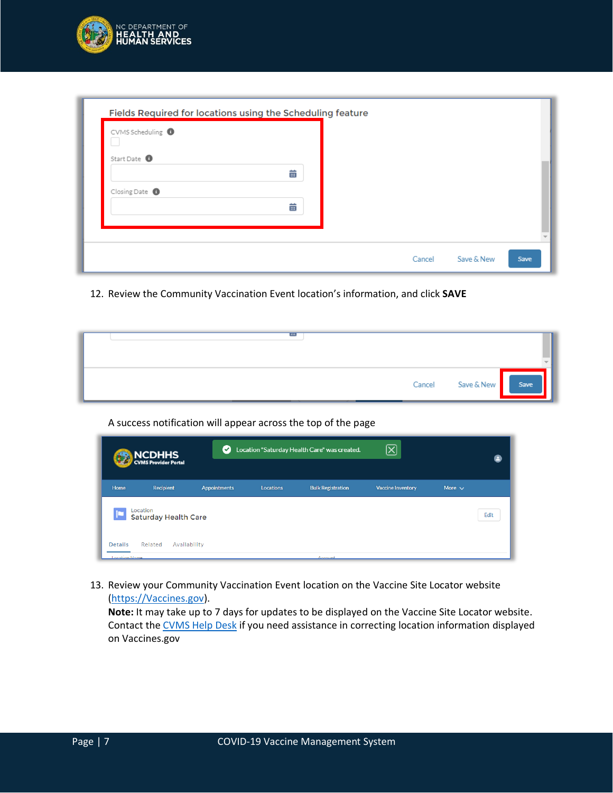

| CVMS Scheduling <sup>O</sup> |   |  |  |  |
|------------------------------|---|--|--|--|
| Start Date <sup>O</sup>      |   |  |  |  |
|                              | 苗 |  |  |  |
| Closing Date <sup>1</sup>    |   |  |  |  |
|                              | 茴 |  |  |  |
|                              |   |  |  |  |

12. Review the Community Vaccination Event location's information, and click **SAVE**

| $\cdots$ |                        |  |
|----------|------------------------|--|
|          | Cancel Save & New Save |  |

#### A success notification will appear across the top of the page

| NCDHHS<br>CVMS Provider Portal                                    | $\bullet$           |           | Location "Saturday Health Care" was created. | $[\overline{\bm{\times}}]$ |             |
|-------------------------------------------------------------------|---------------------|-----------|----------------------------------------------|----------------------------|-------------|
| Home<br><b>Recipient</b>                                          | <b>Appointments</b> | Locations | <b>Bulk Registration</b>                     | <b>Vaccine Inventory</b>   | More $\vee$ |
| Location<br><b>Saturday Health Care</b>                           |                     |           |                                              |                            | Edit        |
| <b>Details</b><br>Related<br>Availability<br><b>Incation Name</b> |                     |           |                                              |                            |             |

13. Review your Community Vaccination Event location on the Vaccine Site Locator website [\(https://Vaccines.gov\)](https://vaccines.gov/).

**Note:** It may take up to 7 days for updates to be displayed on the Vaccine Site Locator website. Contact th[e CVMS Help Desk](https://ncgov.servicenowservices.com/csm_vaccine) if you need assistance in correcting location information displayed on Vaccines.gov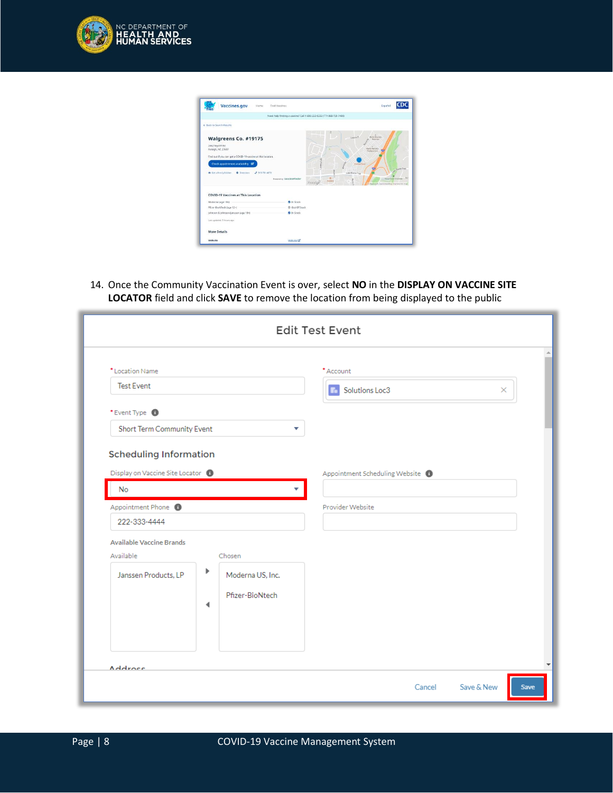

| <b>Vaccines.gov</b><br>Home                                                                                                                                                                                                        | Find Vaccines                                                       |                                                                         | Español                                                                                                                                                                                                                            | rn           |
|------------------------------------------------------------------------------------------------------------------------------------------------------------------------------------------------------------------------------------|---------------------------------------------------------------------|-------------------------------------------------------------------------|------------------------------------------------------------------------------------------------------------------------------------------------------------------------------------------------------------------------------------|--------------|
|                                                                                                                                                                                                                                    | Need help finding a vaccine? Call 1-800-232-0233 (TTY 888-720-7489) |                                                                         |                                                                                                                                                                                                                                    |              |
| + Back to Search Results                                                                                                                                                                                                           |                                                                     |                                                                         |                                                                                                                                                                                                                                    |              |
| Walgreens Co. #19175<br>2462 Wycliff Rd<br>Raleigh, NC 27607<br>Find out if you can get a COVID-19 vaccine at this location.<br>Check appointment availability<br>R Get a free Lift/Utier<br>J 919-781-4070<br><b>O</b> Directions | Fewerativ VaccineFinder                                             | $\overline{\partial}$<br>×<br>ì<br>o<br>$_{\rm H}$<br>Outside<br>Om top | Casara Ci<br><b>Navio Mariota</b><br>Mannister<br>Natio Mariette<br><b>Health artists</b><br>O's kins Tares<br>e<br>Lake Boona True<br><b>Stand Cross Stampedy</b><br><b>Second</b><br>C. Masbox T. CountineerMas Promise this map | - Germi Free |
| <b>COVID-19 Vaccines at This Location</b>                                                                                                                                                                                          |                                                                     |                                                                         |                                                                                                                                                                                                                                    |              |
| Moderna lage 18+)                                                                                                                                                                                                                  | <b>O</b> In Stock                                                   |                                                                         |                                                                                                                                                                                                                                    |              |
| Pfizer-BioNTech (age 12+)                                                                                                                                                                                                          | C Out Of Stock                                                      |                                                                         |                                                                                                                                                                                                                                    |              |
| Johnson & Johnson Ganssen (age 18+)                                                                                                                                                                                                | <b>O</b> In Stock                                                   |                                                                         |                                                                                                                                                                                                                                    |              |
| Last updated: 5 hours ago.                                                                                                                                                                                                         |                                                                     |                                                                         |                                                                                                                                                                                                                                    |              |
| <b>More Details</b>                                                                                                                                                                                                                |                                                                     |                                                                         |                                                                                                                                                                                                                                    |              |
|                                                                                                                                                                                                                                    | Website <sup>12</sup>                                               |                                                                         |                                                                                                                                                                                                                                    |              |

14. Once the Community Vaccination Event is over, select **NO** in the **DISPLAY ON VACCINE SITE LOCATOR** field and click **SAVE** to remove the location from being displayed to the public

| * Location Name                                |        |                                     | *Account                       |
|------------------------------------------------|--------|-------------------------------------|--------------------------------|
| <b>Test Event</b>                              |        |                                     | Solutions Loc3<br>$\times$     |
| * Event Type <sup>1</sup>                      |        |                                     |                                |
| <b>Short Term Community Event</b>              |        | ▼                                   |                                |
| Display on Vaccine Site Locator @<br><b>No</b> |        |                                     | Appointment Scheduling Website |
| Appointment Phone                              |        |                                     | Provider Website               |
| 222-333-4444                                   |        |                                     |                                |
| <b>Available Vaccine Brands</b>                |        |                                     |                                |
| Available                                      |        | Chosen                              |                                |
| Janssen Products, LP                           | Þ<br>◀ | Moderna US, Inc.<br>Pfizer-BioNtech |                                |
|                                                |        |                                     |                                |